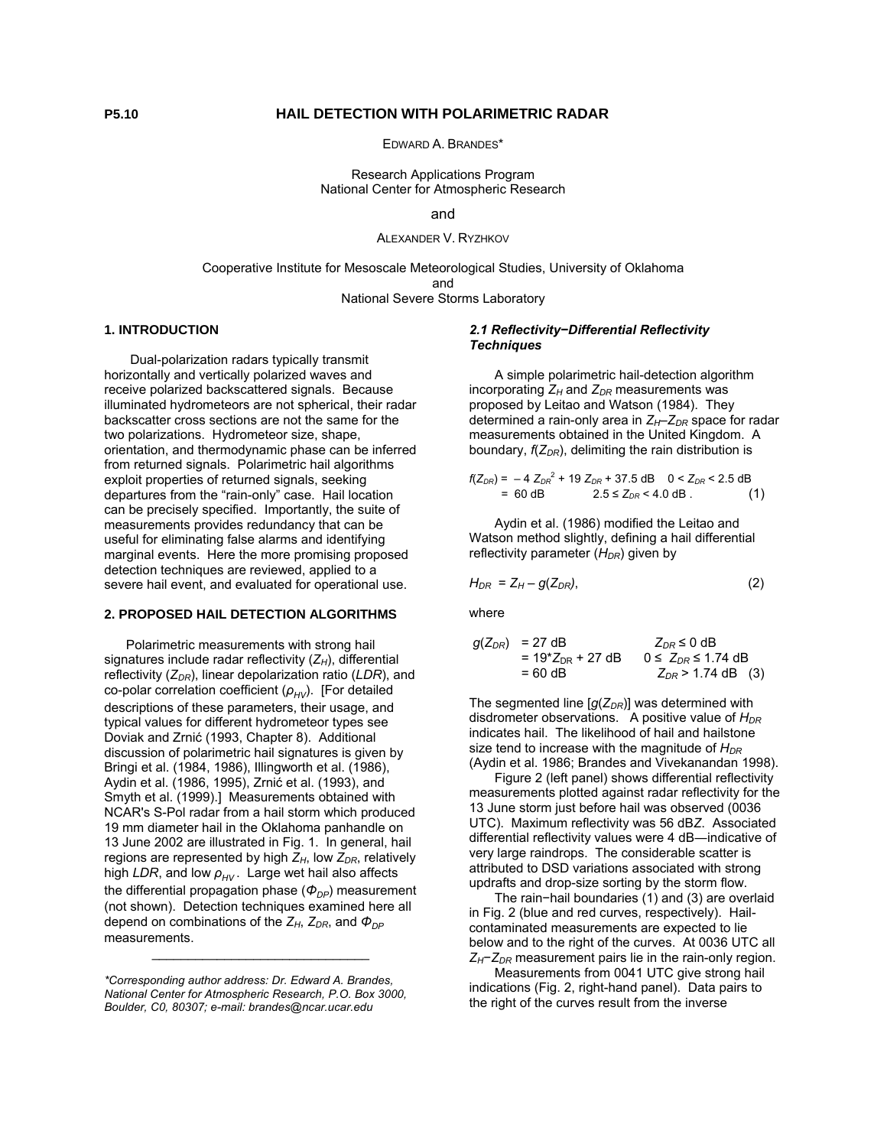# **P5.10 HAIL DETECTION WITH POLARIMETRIC RADAR**

EDWARD A. BRANDES\*

Research Applications Program National Center for Atmospheric Research

### and

ALEXANDER V. RYZHKOV

Cooperative Institute for Mesoscale Meteorological Studies, University of Oklahoma and National Severe Storms Laboratory

# **1. INTRODUCTION**

 Dual-polarization radars typically transmit horizontally and vertically polarized waves and receive polarized backscattered signals. Because illuminated hydrometeors are not spherical, their radar backscatter cross sections are not the same for the two polarizations. Hydrometeor size, shape, orientation, and thermodynamic phase can be inferred from returned signals. Polarimetric hail algorithms exploit properties of returned signals, seeking departures from the "rain-only" case. Hail location can be precisely specified. Importantly, the suite of measurements provides redundancy that can be useful for eliminating false alarms and identifying marginal events. Here the more promising proposed detection techniques are reviewed, applied to a severe hail event, and evaluated for operational use.

#### **2. PROPOSED HAIL DETECTION ALGORITHMS**

 Polarimetric measurements with strong hail signatures include radar reflectivity (Z<sub>H</sub>), differential reflectivity ( $Z_{DR}$ ), linear depolarization ratio (LDR), and co-polar correlation coefficient ( $ρ<sub>HV</sub>$ ). [For detailed descriptions of these parameters, their usage, and typical values for different hydrometeor types see Doviak and Zrnić (1993, Chapter 8). Additional discussion of polarimetric hail signatures is given by Bringi et al. (1984, 1986), Illingworth et al. (1986), Aydin et al. (1986, 1995), Zrnić et al. (1993), and Smyth et al. (1999).] Measurements obtained with NCAR's S-Pol radar from a hail storm which produced 19 mm diameter hail in the Oklahoma panhandle on 13 June 2002 are illustrated in Fig. 1. In general, hail regions are represented by high  $Z_H$ , low  $Z_{DR}$ , relatively high *LDR*, and low  $ρ$ <sub>*HV*</sub>. Large wet hail also affects the differential propagation phase ( $Φ<sub>DP</sub>$ ) measurement (not shown). Detection techniques examined here all depend on combinations of the *Z<sub>H</sub>*, *Z<sub>DR</sub>*, and  $Φ$ <sub>*DP*</sub> measurements.

\_\_\_\_\_\_\_\_\_\_\_\_\_\_\_\_\_\_\_\_\_\_\_\_\_\_\_\_\_\_

#### *2.1 Reflectivity−Differential Reflectivity Techniques*

 A simple polarimetric hail-detection algorithm incorporating  $Z_H$  and  $Z_{DR}$  measurements was proposed by Leitao and Watson (1984). They determined a rain-only area in  $Z_H$ – $Z_{DR}$  space for radar measurements obtained in the United Kingdom. A boundary,  $f(Z_{DR})$ , delimiting the rain distribution is

$$
f(Z_{DR}) = -4 Z_{DR}^2 + 19 Z_{DR} + 37.5 \text{ dB} \quad 0 < Z_{DR} < 2.5 \text{ dB}
$$
  
= 60 dB \quad 2.5 \le Z\_{DR} < 4.0 \text{ dB}. (1)

 Aydin et al. (1986) modified the Leitao and Watson method slightly, defining a hail differential reflectivity parameter (H<sub>DR</sub>) given by

$$
H_{DR} = Z_H - g(Z_{DR}), \qquad (2)
$$

where

$$
g(Z_{DR}) = 27 \text{ dB} \qquad Z_{DR} \leq 0 \text{ dB}
$$
  
= 19\*Z<sub>DR</sub> + 27 dB 0 \leq Z\_{DR} \leq 1.74 dB  
= 60 dB \qquad Z\_{DR} > 1.74 dB (3)

The segmented line  $[q(Z_{DR})]$  was determined with disdrometer observations. A positive value of  $H_{DR}$ indicates hail. The likelihood of hail and hailstone size tend to increase with the magnitude of  $H_{DR}$ (Aydin et al. 1986; Brandes and Vivekanandan 1998).

 Figure 2 (left panel) shows differential reflectivity measurements plotted against radar reflectivity for the 13 June storm just before hail was observed (0036 UTC). Maximum reflectivity was 56 dB*Z*. Associated differential reflectivity values were 4 dB―indicative of very large raindrops. The considerable scatter is attributed to DSD variations associated with strong updrafts and drop-size sorting by the storm flow.

 The rain−hail boundaries (1) and (3) are overlaid in Fig. 2 (blue and red curves, respectively). Hailcontaminated measurements are expected to lie below and to the right of the curves. At 0036 UTC all *Z*<sub>H</sub>−*Z*<sub>DR</sub> measurement pairs lie in the rain-only region.

 Measurements from 0041 UTC give strong hail indications (Fig. 2, right-hand panel). Data pairs to the right of the curves result from the inverse

*<sup>\*</sup>Corresponding author address: Dr. Edward A. Brandes, National Center for Atmospheric Research, P.O. Box 3000, Boulder, C0, 80307; e-mail: brandes@ncar.ucar.edu*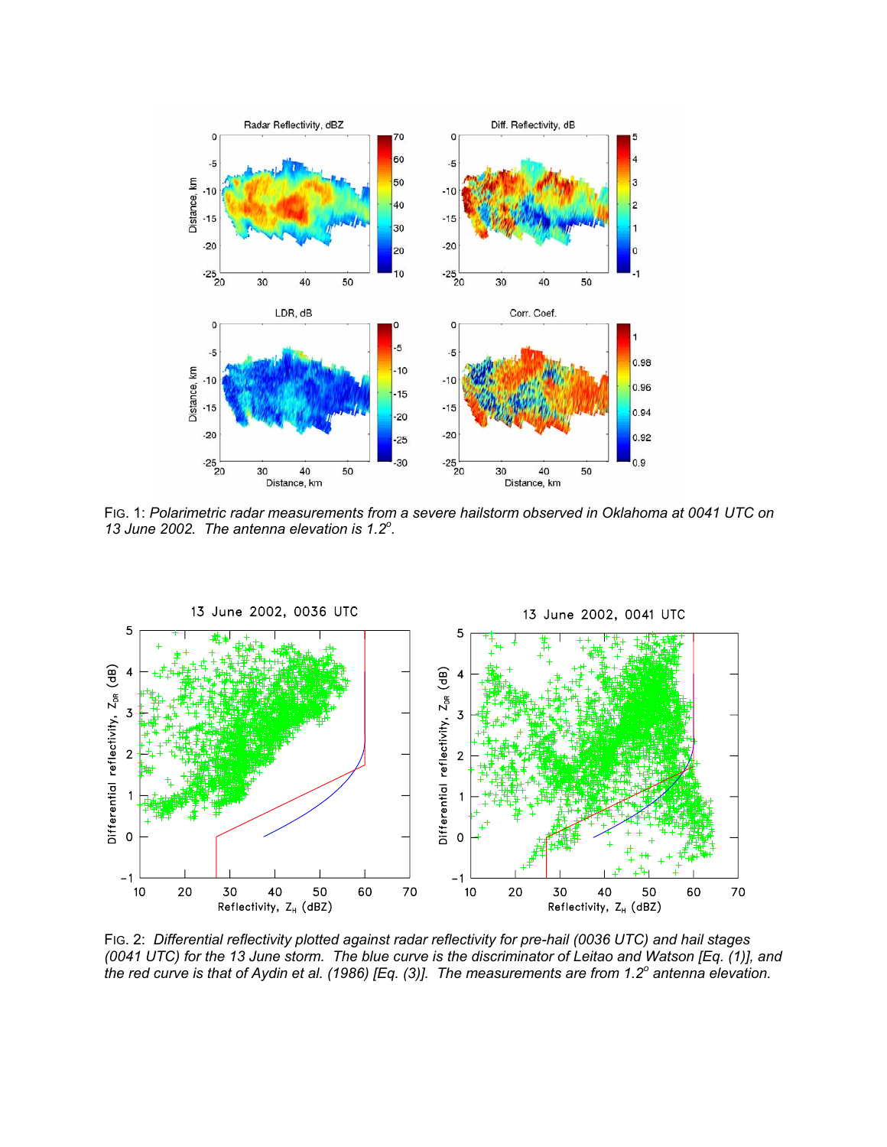

FIG. 1: *Polarimetric radar measurements from a severe hailstorm observed in Oklahoma at 0041 UTC on 13 June 2002. The antenna elevation is 1.2<sup>o</sup> .*



FIG. 2: *Differential reflectivity plotted against radar reflectivity for pre-hail (0036 UTC) and hail stages (0041 UTC) for the 13 June storm. The blue curve is the discriminator of Leitao and Watson [Eq. (1)], and the red curve is that of Aydin et al. (1986) [Eq. (3)]. The measurements are from 1.2<sup>o</sup> antenna elevation.*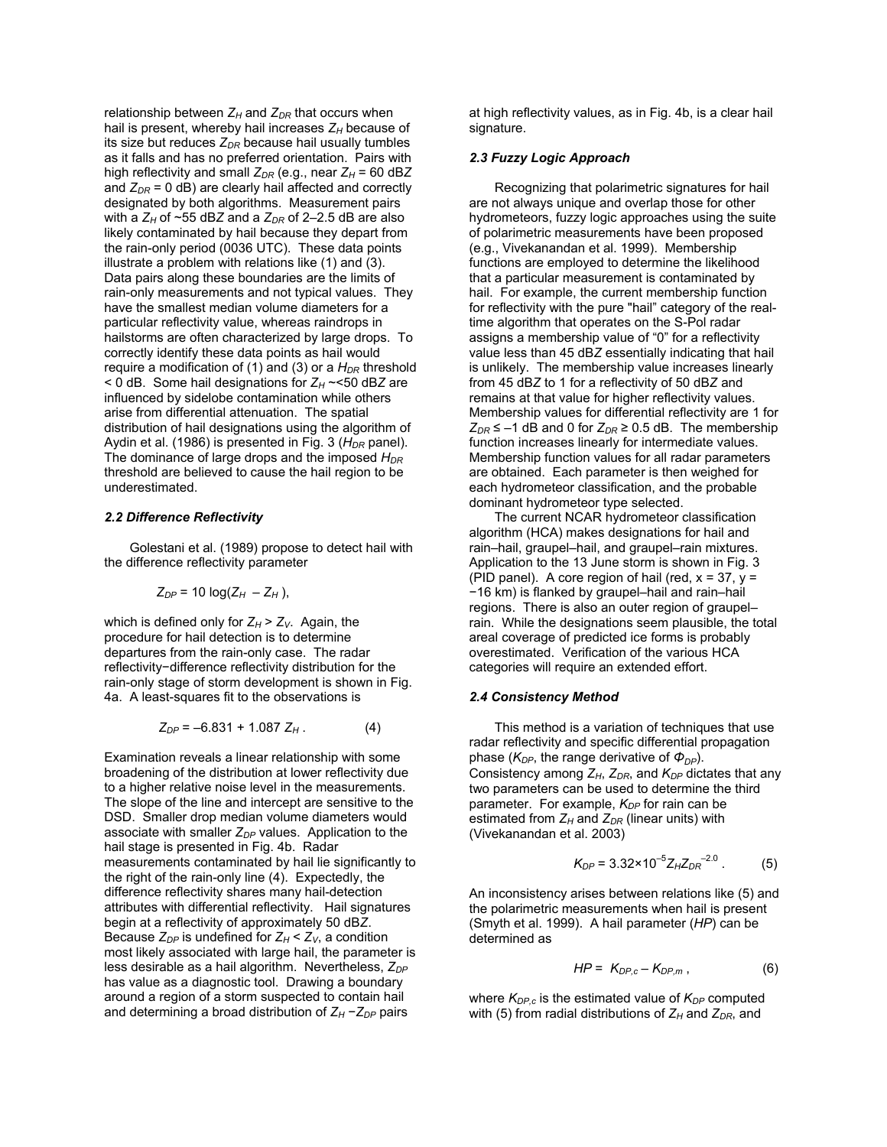relationship between  $Z_H$  and  $Z_{DR}$  that occurs when hail is present, whereby hail increases  $Z_H$  because of its size but reduces  $Z_{DR}$  because hail usually tumbles as it falls and has no preferred orientation. Pairs with high reflectivity and small  $Z_{DR}$  (e.g., near  $Z_H$  = 60 dBZ and  $Z_{DR}$  = 0 dB) are clearly hail affected and correctly designated by both algorithms. Measurement pairs with a  $Z_H$  of  $\sim$ 55 dBZ and a  $Z_{DR}$  of 2–2.5 dB are also likely contaminated by hail because they depart from the rain-only period (0036 UTC). These data points illustrate a problem with relations like (1) and (3). Data pairs along these boundaries are the limits of rain-only measurements and not typical values. They have the smallest median volume diameters for a particular reflectivity value, whereas raindrops in hailstorms are often characterized by large drops. To correctly identify these data points as hail would require a modification of (1) and (3) or a  $H_{DR}$  threshold  $<$  0 dB. Some hail designations for  $Z_H \sim$  50 dBZ are influenced by sidelobe contamination while others arise from differential attenuation. The spatial distribution of hail designations using the algorithm of Aydin et al. (1986) is presented in Fig. 3 (H<sub>DR</sub> panel). The dominance of large drops and the imposed  $H_{DR}$ threshold are believed to cause the hail region to be underestimated.

### *2.2 Difference Reflectivity*

 Golestani et al. (1989) propose to detect hail with the difference reflectivity parameter

$$
Z_{DP} = 10 \log(Z_H - Z_H),
$$

which is defined only for  $Z_H > Z_V$ . Again, the procedure for hail detection is to determine departures from the rain-only case. The radar reflectivity−difference reflectivity distribution for the rain-only stage of storm development is shown in Fig. 4a. A least-squares fit to the observations is

$$
Z_{DP} = -6.831 + 1.087 Z_H.
$$
 (4)

Examination reveals a linear relationship with some broadening of the distribution at lower reflectivity due to a higher relative noise level in the measurements. The slope of the line and intercept are sensitive to the DSD. Smaller drop median volume diameters would associate with smaller  $Z_{DP}$  values. Application to the hail stage is presented in Fig. 4b. Radar measurements contaminated by hail lie significantly to the right of the rain-only line (4). Expectedly, the difference reflectivity shares many hail-detection attributes with differential reflectivity. Hail signatures begin at a reflectivity of approximately 50 dB*Z*. Because  $Z_{DP}$  is undefined for  $Z_H < Z_V$ , a condition most likely associated with large hail, the parameter is less desirable as a hail algorithm. Nevertheless,  $Z_{DP}$ has value as a diagnostic tool. Drawing a boundary around a region of a storm suspected to contain hail and determining a broad distribution of  $Z_H - Z_{DP}$  pairs

at high reflectivity values, as in Fig. 4b, is a clear hail signature.

### *2.3 Fuzzy Logic Approach*

 Recognizing that polarimetric signatures for hail are not always unique and overlap those for other hydrometeors, fuzzy logic approaches using the suite of polarimetric measurements have been proposed (e.g., Vivekanandan et al. 1999). Membership functions are employed to determine the likelihood that a particular measurement is contaminated by hail. For example, the current membership function for reflectivity with the pure "hail" category of the realtime algorithm that operates on the S-Pol radar assigns a membership value of "0" for a reflectivity value less than 45 dB*Z* essentially indicating that hail is unlikely. The membership value increases linearly from 45 dB*Z* to 1 for a reflectivity of 50 dB*Z* and remains at that value for higher reflectivity values. Membership values for differential reflectivity are 1 for  $Z_{DR}$  ≤ –1 dB and 0 for  $Z_{DR}$  ≥ 0.5 dB. The membership function increases linearly for intermediate values. Membership function values for all radar parameters are obtained. Each parameter is then weighed for each hydrometeor classification, and the probable dominant hydrometeor type selected.

 The current NCAR hydrometeor classification algorithm (HCA) makes designations for hail and rain–hail, graupel–hail, and graupel–rain mixtures. Application to the 13 June storm is shown in Fig. 3 (PID panel). A core region of hail (red,  $x = 37$ ,  $y =$ −16 km) is flanked by graupel–hail and rain–hail regions. There is also an outer region of graupel– rain. While the designations seem plausible, the total areal coverage of predicted ice forms is probably overestimated. Verification of the various HCA categories will require an extended effort.

## *2.4 Consistency Method*

 This method is a variation of techniques that use radar reflectivity and specific differential propagation phase (*KDP*, the range derivative of *ΦDP*). Consistency among  $Z_H$ ,  $Z_{DR}$ , and  $K_{DP}$  dictates that any two parameters can be used to determine the third parameter. For example,  $K_{DP}$  for rain can be estimated from  $Z_H$  and  $Z_{DR}$  (linear units) with (Vivekanandan et al. 2003)

$$
K_{DP} = 3.32 \times 10^{-5} Z_H Z_{DR}^{-2.0} \ . \tag{5}
$$

An inconsistency arises between relations like (5) and the polarimetric measurements when hail is present (Smyth et al. 1999). A hail parameter (*HP*) can be determined as

$$
HP = K_{DP,c} - K_{DP,m} , \qquad (6)
$$

where  $K_{DP,c}$  is the estimated value of  $K_{DP}$  computed with (5) from radial distributions of  $Z_H$  and  $Z_{DR}$ , and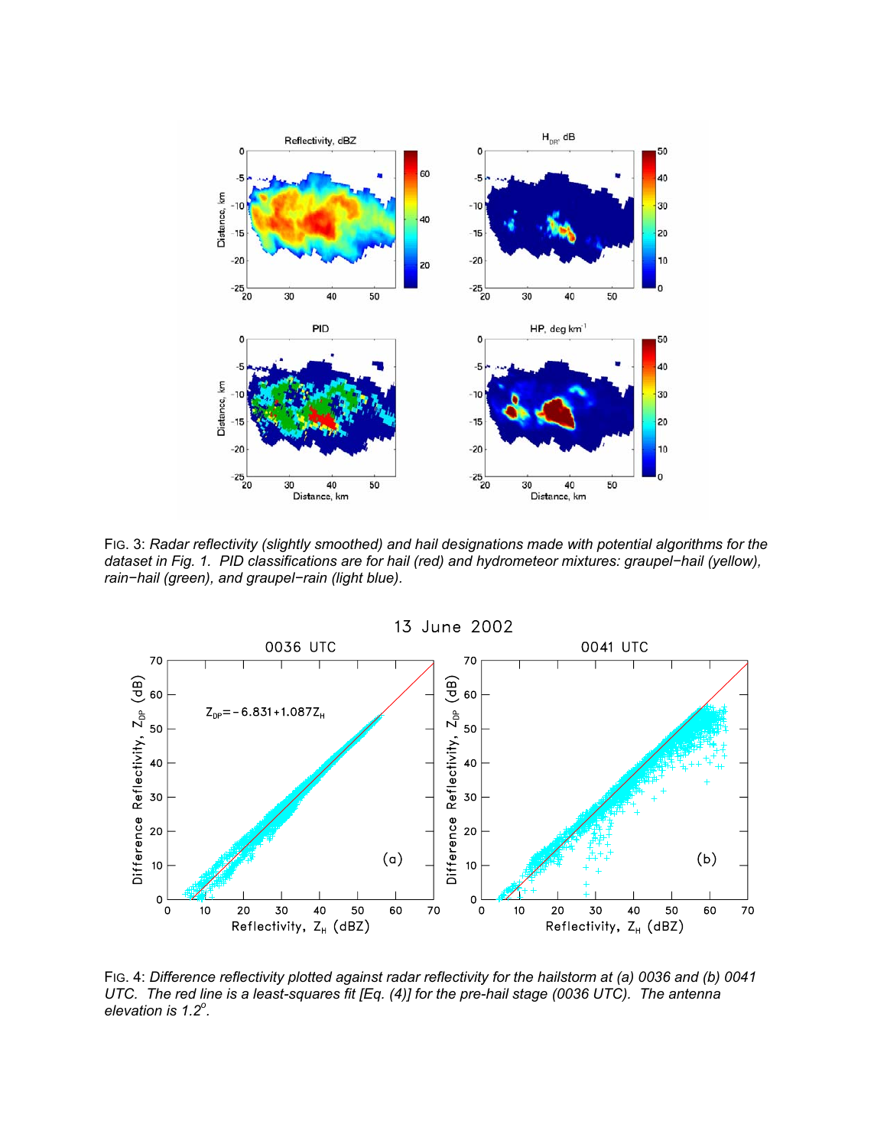

FIG. 3: *Radar reflectivity (slightly smoothed) and hail designations made with potential algorithms for the dataset in Fig. 1. PID classifications are for hail (red) and hydrometeor mixtures: graupel−hail (yellow), rain−hail (green), and graupel−rain (light blue).* 



FIG. 4: *Difference reflectivity plotted against radar reflectivity for the hailstorm at (a) 0036 and (b) 0041 UTC. The red line is a least-squares fit [Eq. (4)] for the pre-hail stage (0036 UTC). The antenna elevation is 1.2<sup>o</sup> .*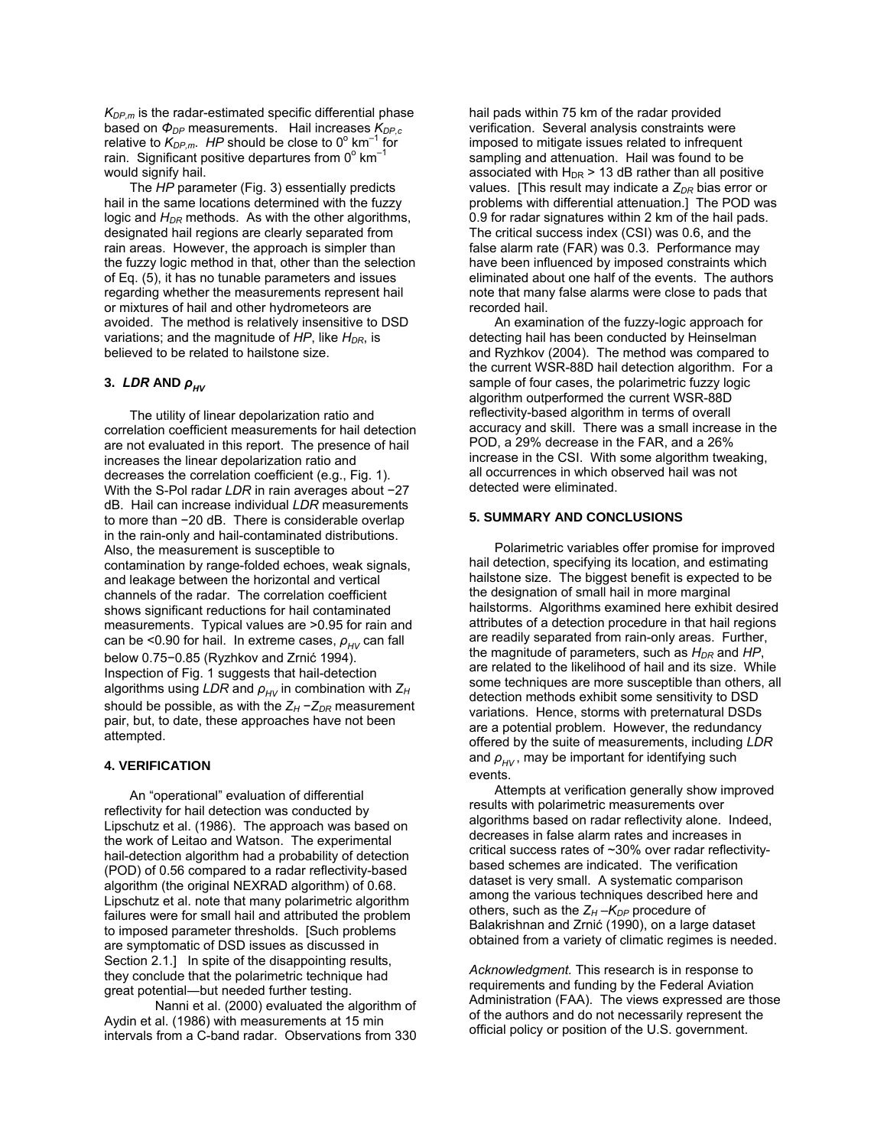$K_{DP,m}$  is the radar-estimated specific differential phase based on *Φ<sub>DP</sub>* measurements. Hail increases  $K_{DP,c}$ relative to  $K_{DP,m}$ . HP should be close to 0<sup>°</sup> km<sup>-1</sup> for rain. Significant positive departures from 0 $^{\circ}$  km<sup>-1</sup> would signify hail.

 The *HP* parameter (Fig. 3) essentially predicts hail in the same locations determined with the fuzzy logic and  $H_{DR}$  methods. As with the other algorithms, designated hail regions are clearly separated from rain areas. However, the approach is simpler than the fuzzy logic method in that, other than the selection of Eq. (5), it has no tunable parameters and issues regarding whether the measurements represent hail or mixtures of hail and other hydrometeors are avoided. The method is relatively insensitive to DSD variations; and the magnitude of *HP*, like *H<sub>DR</sub>*, is believed to be related to hailstone size.

## **3.** *LDR* AND  $ρ_{HV}$

 The utility of linear depolarization ratio and correlation coefficient measurements for hail detection are not evaluated in this report. The presence of hail increases the linear depolarization ratio and decreases the correlation coefficient (e.g., Fig. 1). With the S-Pol radar *LDR* in rain averages about −27 dB. Hail can increase individual *LDR* measurements to more than −20 dB. There is considerable overlap in the rain-only and hail-contaminated distributions. Also, the measurement is susceptible to contamination by range-folded echoes, weak signals, and leakage between the horizontal and vertical channels of the radar. The correlation coefficient shows significant reductions for hail contaminated measurements. Typical values are >0.95 for rain and can be <0.90 for hail. In extreme cases,  $ρ<sub>HV</sub>$  can fall below 0.75−0.85 (Ryzhkov and Zrnić 1994). Inspection of Fig. 1 suggests that hail-detection algorithms using *LDR* and *ρHV* in combination with *ZH* should be possible, as with the *Z<sub>H</sub>* −*Z<sub>DR</sub>* measurement pair, but, to date, these approaches have not been attempted.

# **4. VERIFICATION**

 An "operational" evaluation of differential reflectivity for hail detection was conducted by Lipschutz et al. (1986). The approach was based on the work of Leitao and Watson. The experimental hail-detection algorithm had a probability of detection (POD) of 0.56 compared to a radar reflectivity-based algorithm (the original NEXRAD algorithm) of 0.68. Lipschutz et al. note that many polarimetric algorithm failures were for small hail and attributed the problem to imposed parameter thresholds. [Such problems are symptomatic of DSD issues as discussed in Section 2.1.] In spite of the disappointing results, they conclude that the polarimetric technique had great potential―but needed further testing.

 Nanni et al. (2000) evaluated the algorithm of Aydin et al. (1986) with measurements at 15 min intervals from a C-band radar. Observations from 330

hail pads within 75 km of the radar provided verification. Several analysis constraints were imposed to mitigate issues related to infrequent sampling and attenuation. Hail was found to be associated with  $H_{DR}$  > 13 dB rather than all positive values. [This result may indicate a  $Z_{DR}$  bias error or problems with differential attenuation.] The POD was 0.9 for radar signatures within 2 km of the hail pads. The critical success index (CSI) was 0.6, and the false alarm rate (FAR) was 0.3. Performance may have been influenced by imposed constraints which eliminated about one half of the events. The authors note that many false alarms were close to pads that recorded hail.

 An examination of the fuzzy-logic approach for detecting hail has been conducted by Heinselman and Ryzhkov (2004). The method was compared to the current WSR-88D hail detection algorithm. For a sample of four cases, the polarimetric fuzzy logic algorithm outperformed the current WSR-88D reflectivity-based algorithm in terms of overall accuracy and skill. There was a small increase in the POD, a 29% decrease in the FAR, and a 26% increase in the CSI. With some algorithm tweaking, all occurrences in which observed hail was not detected were eliminated.

# **5. SUMMARY AND CONCLUSIONS**

 Polarimetric variables offer promise for improved hail detection, specifying its location, and estimating hailstone size. The biggest benefit is expected to be the designation of small hail in more marginal hailstorms. Algorithms examined here exhibit desired attributes of a detection procedure in that hail regions are readily separated from rain-only areas. Further, the magnitude of parameters, such as  $H_{DR}$  and  $HP$ , are related to the likelihood of hail and its size. While some techniques are more susceptible than others, all detection methods exhibit some sensitivity to DSD variations. Hence, storms with preternatural DSDs are a potential problem. However, the redundancy offered by the suite of measurements, including *LDR* and  $ρ$ <sub>*HV</sub>*, may be important for identifying such</sub> events.

 Attempts at verification generally show improved results with polarimetric measurements over algorithms based on radar reflectivity alone. Indeed, decreases in false alarm rates and increases in critical success rates of ~30% over radar reflectivitybased schemes are indicated. The verification dataset is very small. A systematic comparison among the various techniques described here and others, such as the  $Z_H - K_{DP}$  procedure of Balakrishnan and Zrnić (1990), on a large dataset obtained from a variety of climatic regimes is needed.

*Acknowledgment.* This research is in response to requirements and funding by the Federal Aviation Administration (FAA). The views expressed are those of the authors and do not necessarily represent the official policy or position of the U.S. government.